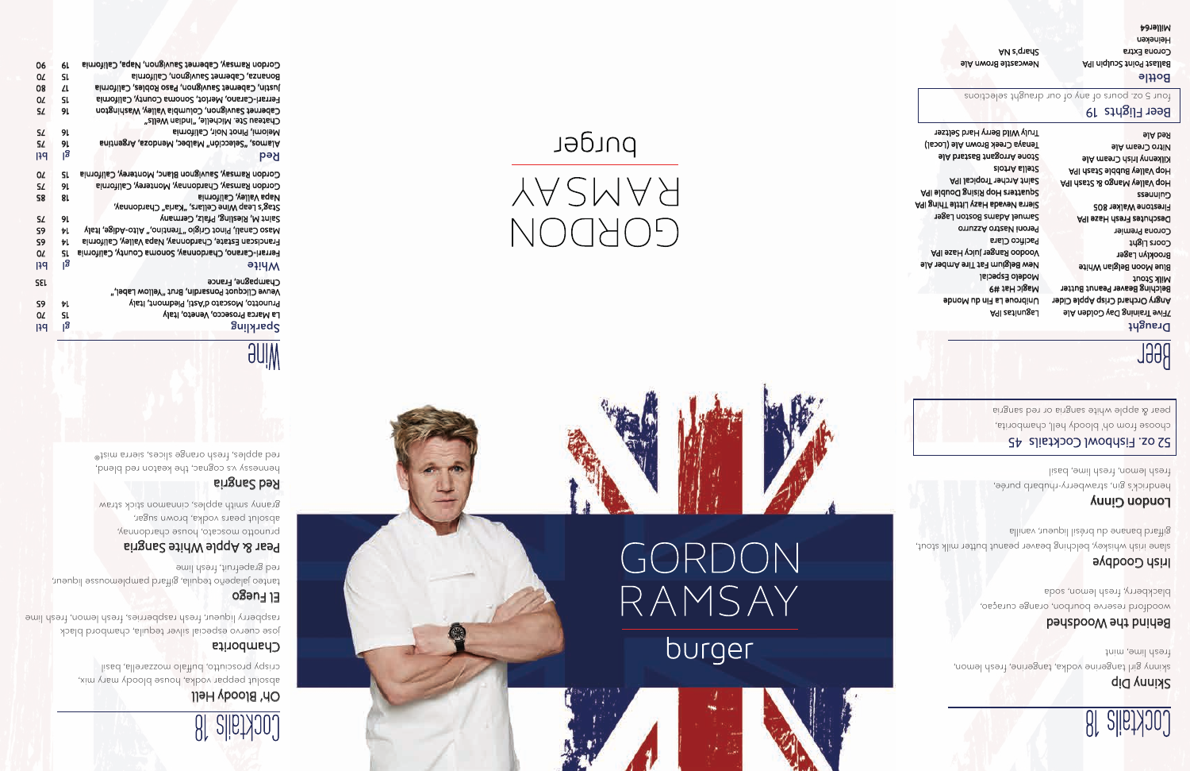| 0Z         | SL   | Bonanza, Cabernet Sauvignon, California                                                  |
|------------|------|------------------------------------------------------------------------------------------|
| 08         | ZL   | Justin, Cabernet Sauvignon, Paso Robles, California                                      |
| 0Z         | SL   | Ferrari-Carano, Merlot, Sonoma County, California                                        |
| SL         | 91.  | Cabernet Sauvignon, Columbia Valley, Washington<br>Chateau Ste. Michelle, "Indian Wells" |
| SL         | 91.  | Meiomi, Pinot Noir, California                                                           |
| SL         | 91   | Alamos, "Selección" Malbec, Mendoza, Argentina                                           |
| 134        | န္တု | Bed                                                                                      |
| 0Z         | SL   | Gordon Ramsay, Sauvignon Blanc, Monterey, California                                     |
| SL         | 91.  | Gordon Ramsay, Chardonnay, Monterey, California                                          |
| 58         | 81   | <b>Napa Valley, California</b>                                                           |
|            |      | Stag's Leap Wine Cellars, "Karia" Chardonnay,                                            |
| SL         | 91   | Saint M, Riesling, Pfalz, Germany                                                        |
| S9         | Ы.   | Naso Canali, Pinot Grigio "Trentino," Alto-Adige, Italy                                  |
| S9         | ы    | Franciscan Estate, Chardonnay, Napa Valley, California                                   |
| 0Z         | SL   | Ferrari-Carano, Chardonnay, Sonoma County, California                                    |
| ျာရ        | န္တု | White                                                                                    |
| <b>J32</b> |      | Champagne, France                                                                        |
|            |      | Veuve Clicquot Ponsardin, Brut "Yellow Label,"                                           |
| S9         | ы    | Prunotto, Moscato d'Asti, Piedmont, Italy                                                |
| 0Z         | SL   | La Marca Prosecco, Veneto, Italy                                                         |
| ျာရ        | န္တု | Sparkling                                                                                |
|            |      |                                                                                          |

prunotto moscato, house chardonnay, absolut pears vodka, brown sugar, granny smith apples, cinnamon stick straw

19



# GORDON RAMSAY burger



# YAZMAA **COBDON**

burger

Gordon Ramsay, Cabernet Sauvignon, Napa, California

06

# Cocktails 18

## Oh' Bloody Hell

absolut peppar vodka, house bloody mary mix, crispy prosciutto, buffalo mozzarella, basil

### Chamborita

jose cuervo especial silver tequila, chambord black raspberry liqueur, fresh raspberries, fresh lemon, fresh lime

### El Fuego

tanteo jalapeño tequila, giffard pamplemousse liqueur, red grapefruit, fresh lime

### Pear & Apple White Sangria

### Red Sangria

hennessy v.s cognac, the keaton red blend, red apples, fresh orange slices, sierra mist®

# **AllW**

# Cocktails 18

### Skinny Dip

skinny girl tangerine vodka, tangerine, fresh lemon, fresh lime, mint

### Behind the Woodshed

woodford reserve bourbon, orange curaçao, blackberry, fresh lemon, soda

### Irish Goodbye

slane irish whiskey, belching beaver peanut butter milk stout, giffard banane du brésil liqueur, vanilla

### **Longuon** Ginny

hendrick's gin, strawberry-rhubarb purée, fresh lemon, fresh lime, basil

### 45 52 oz. Fishbowl Cocktails

choose from oh' bloody hell, chamborita, pear & apple white sangria or red sangria

# Beer

#### Draught

7Five Training Day Golden Ale Angry Orchard Crisp Apple Cider Belching Beaver Peanut Butter Milk Stout Blue Moon Belgian White Brooklyn Lager Coors Light Corona Premier Deschutes Fresh Haze IPA Firestone Walker 805 ssauuing Hop Valley Mango & Stash IPA Hop Valley Bubble Stash IPA Kilkenny Irish Cream Ale Nitro Cream Ale

Red Ale

Lagunitas IPA Unibroue La Fin du Monde Magic Hat #9 Modelo Especial New Belgium Fat Tire Amber Ale Voodoo Ranger Juicy Haze IPA Pacifico Clara Peroni Nastro Azzurro Samuel Adams Boston Lager Sierra Nevada Hazy Little Thing IPA Squatters Hop Rising Double IPA Saint Archer Tropical IPA Stella Artois Stone Arrogant Bastard Ale Tenaya Creek Brown Ale (Local)

Truly Wild Berry Hard Seltzer

#### 19 Beer Flights

four 5 oz. pours of any of our draught selections

Bottle Ballast Point Sculpin IPA Corona Extra Heineken Miller64

Newcastle Brown Ale Sharp's NA